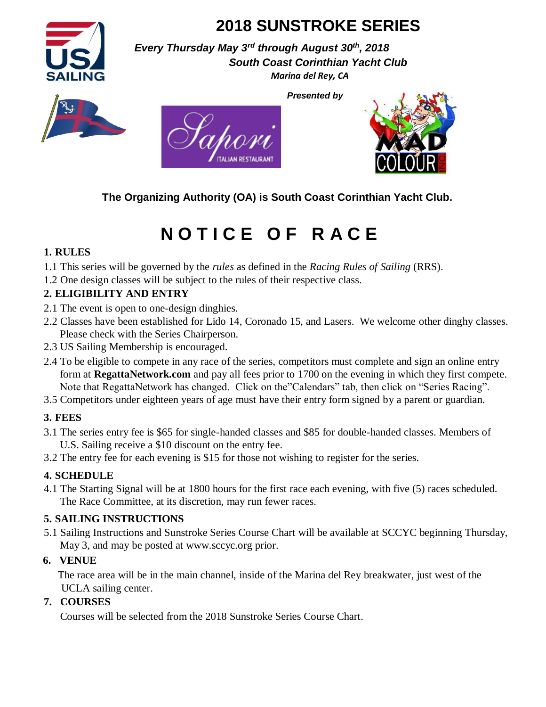

# **2018 SUNSTROKE SERIES**

*Presented by* 

*Every Thursday May 3rd through August 30th, 2018 South Coast Corinthian Yacht Club Marina del Rey, CA* 







**The Organizing Authority (OA) is South Coast Corinthian Yacht Club.** 

# **N O T I C E O F R A C E**

# **1. RULES**

1.1 This series will be governed by the *rules* as defined in the *Racing Rules of Sailing* (RRS).

1.2 One design classes will be subject to the rules of their respective class.

# **2. ELIGIBILITY AND ENTRY**

- 2.1 The event is open to one-design dinghies.
- 2.2 Classes have been established for Lido 14, Coronado 15, and Lasers. We welcome other dinghy classes. Please check with the Series Chairperson.
- 2.3 US Sailing Membership is encouraged.
- 2.4 To be eligible to compete in any race of the series, competitors must complete and sign an online entry form at **RegattaNetwork.com** and pay all fees prior to 1700 on the evening in which they first compete. Note that RegattaNetwork has changed. Click on the"Calendars" tab, then click on "Series Racing".
- 3.5 Competitors under eighteen years of age must have their entry form signed by a parent or guardian.

# **3. FEES**

- 3.1 The series entry fee is \$65 for single-handed classes and \$85 for double-handed classes. Members of U.S. Sailing receive a \$10 discount on the entry fee.
- 3.2 The entry fee for each evening is \$15 for those not wishing to register for the series.

# **4. SCHEDULE**

4.1 The Starting Signal will be at 1800 hours for the first race each evening, with five (5) races scheduled. The Race Committee, at its discretion, may run fewer races.

# **5. SAILING INSTRUCTIONS**

5.1 Sailing Instructions and Sunstroke Series Course Chart will be available at SCCYC beginning Thursday, May 3, and may be posted at www.sccyc.org prior.

# **6. VENUE**

 The race area will be in the main channel, inside of the Marina del Rey breakwater, just west of the UCLA sailing center.

# **7. COURSES**

Courses will be selected from the 2018 Sunstroke Series Course Chart.